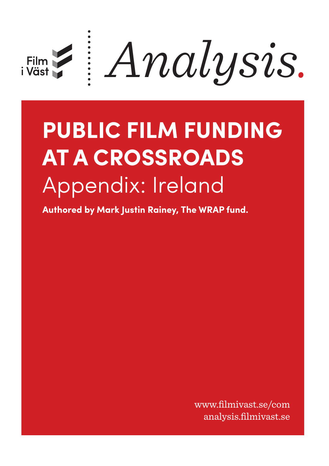

# **PUBLIC FILM FUNDING AT A CROSSROADS** Appendix: Ireland

**Authored by Mark Justin Rainey, The WRAP fund.**

www.filmivast.se/com analysis.filmivast.se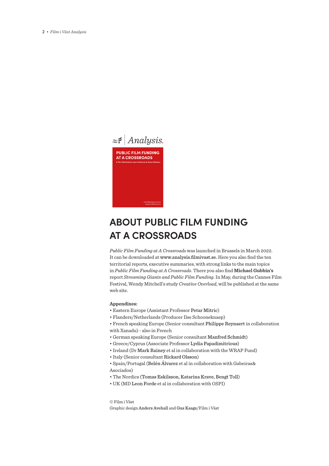

## **ABOUT PUBLIC FILM FUNDING AT A CROSSROADS**

*Public Film Funding at A Crossroads* was launched in Brussels in March 2022. It can be downloaded at www.analysis.filmivast.se. Here you also find the ten territorial reports, executive summaries, with strong links to the main topics in *Public Film Funding at A Crossroads*. There you also find **Michael Gubbin's** report *Streaming Giants and Public Film Funding*. In May, during the Cannes Film Festival, Wendy Mitchell's study *Creative Overload*, will be published at the same web site.

#### **Appendixes:**

- Eastern Europe (Assistant Professor Petar Mitric)
- Flanders/Netherlands (Producer Ilse Schooneknaep)
- French speaking Europe (Senior consultant Philippe Reynaert in collaboration with Xanadu) - also in French
- German speaking Europe (Senior consultant Manfred Schmidt)
- Greece/Cyprus (Associate Professor Lydia Papadimitrious)
- Ireland (Dr Mark Rainey et al in collaboration with the WRAP Fund)
- Italy (Senior consultant Rickard Olsson)
- Spain/Portugal (Belén Álvarez et al in collaboration with Gabeiras& Asociados)
- The Nordics (Tomas Eskilsson, Katarina Krave, Bengt Toll)
- UK (MD Leon Forde et al in collaboration with OSPI)

© Film i Väst Graphic design Anders Avehall and Gus Kaage/Film i Väst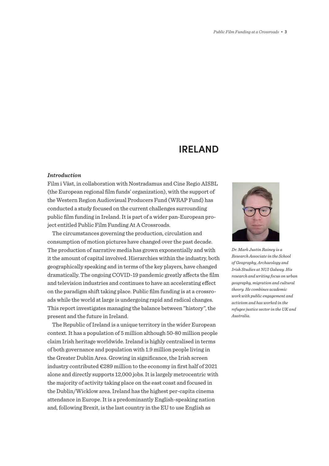### **IRELAND**

#### *Introduction*

Film i Väst, in collaboration with Nostradamus and Cine Regio AISBL (the European regional film funds' organization), with the support of the Western Region Audiovisual Producers Fund (WRAP Fund) has conducted a study focused on the current challenges surrounding public film funding in Ireland. It is part of a wider pan-European project entitled Public Film Funding At A Crossroads.

The circumstances governing the production, circulation and consumption of motion pictures have changed over the past decade. The production of narrative media has grown exponentially and with it the amount of capital involved. Hierarchies within the industry, both geographically speaking and in terms of the key players, have changed dramatically. The ongoing COVID-19 pandemic greatly affects the film and television industries and continues to have an accelerating effect on the paradigm shift taking place. Public film funding is at a crossroads while the world at large is undergoing rapid and radical changes. This report investigates managing the balance between "history", the present and the future in Ireland.

The Republic of Ireland is a unique territory in the wider European context. It has a population of 5 million although 50-80 million people claim Irish heritage worldwide. Ireland is highly centralised in terms of both governance and population with 1.9 million people living in the Greater Dublin Area. Growing in significance, the Irish screen industry contributed €289 million to the economy in first half of 2021 alone and directly supports 12,000 jobs. It is largely metrocentric with the majority of activity taking place on the east coast and focused in the Dublin/Wicklow area. Ireland has the highest per-capita cinema attendance in Europe. It is a predominantly English-speaking nation and, following Brexit, is the last country in the EU to use English as



*Dr. Mark Justin Rainey is a Research Associate in the School of Geography, Archaeology and Irish Studies at NUI Galway. His research and writing focus on urban geography, migration and cultural theory. He combines academic work with public engagement and activism and has worked in the refugee justice sector in the UK and Australia.*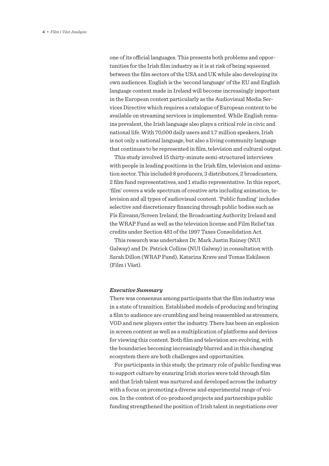one of its official languages. This presents both problems and opportunities for the Irish film industry as it is at risk of being squeezed between the film sectors of the USA and UK while also developing its own audiences. English is the 'second language' of the EU and English language content made in Ireland will become increasingly important in the European context particularly as the Audiovisual Media Services Directive which requires a catalogue of European content to be available on streaming services is implemented. While English remains prevalent, the Irish language also plays a critical role in civic and national life. With 70,000 daily users and 1.7 million speakers, Irish is not only a national language, but also a living community language that continues to be represented in film, television and cultural output.

This study involved 15 thirty-minute semi-structured interviews with people in leading positions in the Irish film, television and animation sector. This included 8 producers, 3 distributors, 2 broadcasters, 2 film fund representatives, and 1 studio representative. In this report, 'film' covers a wide spectrum of creative arts including animation, television and all types of audiovisual content. 'Public funding' includes selective and discretionary financing through public bodies such as Fís Éireann/Screen Ireland, the Broadcasting Authority Ireland and the WRAP Fund as well as the television license and Film Relief tax credits under Section 481 of the 1997 Taxes Consolidation Act.

This research was undertaken Dr. Mark Justin Rainey (NUI Galway) and Dr. Patrick Collins (NUI Galway) in consultation with Sarah Dillon (WRAP Fund), Katarina Krave and Tomas Eskilsson (Film i Väst).

#### *Executive Summary*

There was consensus among participants that the film industry was in a state of transition. Established models of producing and bringing a film to audience are crumbling and being reassembled as streamers, VOD and new players enter the industry. There has been an explosion in screen content as well as a multiplication of platforms and devices for viewing this content. Both film and television are evolving, with the boundaries becoming increasingly blurred and in this changing ecosystem there are both challenges and opportunities.

For participants in this study, the primary role of public funding was to support culture by ensuring Irish stories were told through film and that Irish talent was nurtured and developed across the industry with a focus on promoting a diverse and experimental range of voices. In the context of co-produced projects and partnerships public funding strengthened the position of Irish talent in negotiations over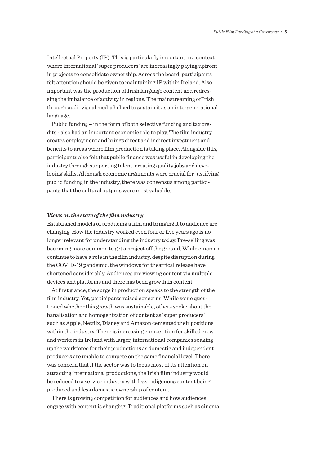Intellectual Property (IP). This is particularly important in a context where international 'super producers' are increasingly paying upfront in projects to consolidate ownership. Across the board, participants felt attention should be given to maintaining IP within Ireland. Also important was the production of Irish language content and redressing the imbalance of activity in regions. The mainstreaming of Irish through audiovisual media helped to sustain it as an intergenerational language.

Public funding – in the form of both selective funding and tax credits - also had an important economic role to play. The film industry creates employment and brings direct and indirect investment and benefits to areas where film production is taking place. Alongside this, participants also felt that public finance was useful in developing the industry through supporting talent, creating quality jobs and developing skills. Although economic arguments were crucial for justifying public funding in the industry, there was consensus among participants that the cultural outputs were most valuable.

#### *Views on the state of the film industry*

Established models of producing a film and bringing it to audience are changing. How the industry worked even four or five years ago is no longer relevant for understanding the industry today. Pre-selling was becoming more common to get a project off the ground. While cinemas continue to have a role in the film industry, despite disruption during the COVID-19 pandemic, the windows for theatrical release have shortened considerably. Audiences are viewing content via multiple devices and platforms and there has been growth in content.

At first glance, the surge in production speaks to the strength of the film industry. Yet, participants raised concerns. While some questioned whether this growth was sustainable, others spoke about the banalisation and homogenization of content as 'super producers' such as Apple, Netflix, Disney and Amazon cemented their positions within the industry. There is increasing competition for skilled crew and workers in Ireland with larger, international companies soaking up the workforce for their productions as domestic and independent producers are unable to compete on the same financial level. There was concern that if the sector was to focus most of its attention on attracting international productions, the Irish film industry would be reduced to a service industry with less indigenous content being produced and less domestic ownership of content.

There is growing competition for audiences and how audiences engage with content is changing. Traditional platforms such as cinema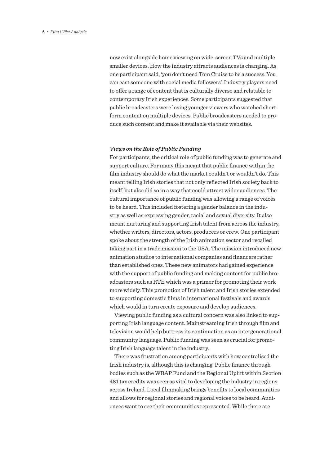now exist alongside home viewing on wide-screen TVs and multiple smaller devices. How the industry attracts audiences is changing. As one participant said, 'you don't need Tom Cruise to be a success. You can cast someone with social media followers'. Industry players need to offer a range of content that is culturally diverse and relatable to contemporary Irish experiences. Some participants suggested that public broadcasters were losing younger viewers who watched short form content on multiple devices. Public broadcasters needed to produce such content and make it available via their websites.

#### *Views on the Role of Public Funding*

For participants, the critical role of public funding was to generate and support culture. For many this meant that public finance within the film industry should do what the market couldn't or wouldn't do. This meant telling Irish stories that not only reflected Irish society back to itself, but also did so in a way that could attract wider audiences. The cultural importance of public funding was allowing a range of voices to be heard. This included fostering a gender balance in the industry as well as expressing gender, racial and sexual diversity. It also meant nurturing and supporting Irish talent from across the industry, whether writers, directors, actors, producers or crew. One participant spoke about the strength of the Irish animation sector and recalled taking part in a trade mission to the USA. The mission introduced new animation studios to international companies and financers rather than established ones. These new animators had gained experience with the support of public funding and making content for public broadcasters such as RTE which was a primer for promoting their work more widely. This promotion of Irish talent and Irish stories extended to supporting domestic films in international festivals and awards which would in turn create exposure and develop audiences.

Viewing public funding as a cultural concern was also linked to supporting Irish language content. Mainstreaming Irish through film and television would help buttress its continuation as an intergenerational community language. Public funding was seen as crucial for promoting Irish language talent in the industry.

There was frustration among participants with how centralised the Irish industry is, although this is changing. Public finance through bodies such as the WRAP Fund and the Regional Uplift within Section 481 tax credits was seen as vital to developing the industry in regions across Ireland. Local filmmaking brings benefits to local communities and allows for regional stories and regional voices to be heard. Audiences want to see their communities represented. While there are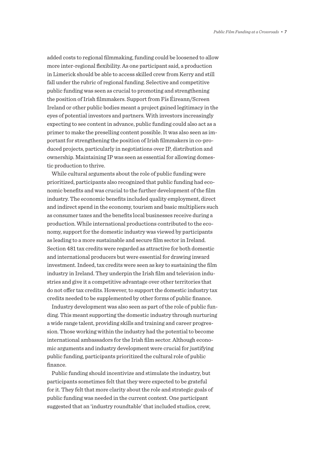added costs to regional filmmaking, funding could be loosened to allow more inter-regional flexibility. As one participant said, a production in Limerick should be able to access skilled crew from Kerry and still fall under the rubric of regional funding. Selective and competitive public funding was seen as crucial to promoting and strengthening the position of Irish filmmakers. Support from Fís Éireann/Screen Ireland or other public bodies meant a project gained legitimacy in the eyes of potential investors and partners. With investors increasingly expecting to see content in advance, public funding could also act as a primer to make the preselling content possible. It was also seen as important for strengthening the position of Irish filmmakers in co-produced projects, particularly in negotiations over IP, distribution and ownership. Maintaining IP was seen as essential for allowing domestic production to thrive.

While cultural arguments about the role of public funding were prioritized, participants also recognized that public funding had economic benefits and was crucial to the further development of the film industry. The economic benefits included quality employment, direct and indirect spend in the economy, tourism and basic multipliers such as consumer taxes and the benefits local businesses receive during a production. While international productions contributed to the economy, support for the domestic industry was viewed by participants as leading to a more sustainable and secure film sector in Ireland. Section 481 tax credits were regarded as attractive for both domestic and international producers but were essential for drawing inward investment. Indeed, tax credits were seen as key to sustaining the film industry in Ireland. They underpin the Irish film and television industries and give it a competitive advantage over other territories that do not offer tax credits. However, to support the domestic industry tax credits needed to be supplemented by other forms of public finance.

Industry development was also seen as part of the role of public funding. This meant supporting the domestic industry through nurturing a wide range talent, providing skills and training and career progression. Those working within the industry had the potential to become international ambassadors for the Irish film sector. Although economic arguments and industry development were crucial for justifying public funding, participants prioritized the cultural role of public finance.

Public funding should incentivize and stimulate the industry, but participants sometimes felt that they were expected to be grateful for it. They felt that more clarity about the role and strategic goals of public funding was needed in the current context. One participant suggested that an 'industry roundtable' that included studios, crew,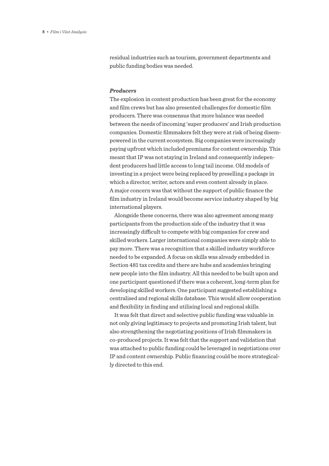residual industries such as tourism, government departments and public funding bodies was needed.

#### *Producers*

The explosion in content production has been great for the economy and film crews but has also presented challenges for domestic film producers. There was consensus that more balance was needed between the needs of incoming 'super producers' and Irish production companies. Domestic filmmakers felt they were at risk of being disempowered in the current ecosystem. Big companies were increasingly paying upfront which included premiums for content ownership. This meant that IP was not staying in Ireland and consequently independent producers had little access to long tail income. Old models of investing in a project were being replaced by preselling a package in which a director, writer, actors and even content already in place. A major concern was that without the support of public finance the film industry in Ireland would become service industry shaped by big international players.

Alongside these concerns, there was also agreement among many participants from the production side of the industry that it was increasingly difficult to compete with big companies for crew and skilled workers. Larger international companies were simply able to pay more. There was a recognition that a skilled industry workforce needed to be expanded. A focus on skills was already embedded in Section 481 tax credits and there are hubs and academies bringing new people into the film industry. All this needed to be built upon and one participant questioned if there was a coherent, long-term plan for developing skilled workers. One participant suggested establishing a centralised and regional skills database. This would allow cooperation and flexibility in finding and utilising local and regional skills.

It was felt that direct and selective public funding was valuable in not only giving legitimacy to projects and promoting Irish talent, but also strengthening the negotiating positions of Irish filmmakers in co-produced projects. It was felt that the support and validation that was attached to public funding could be leveraged in negotiations over IP and content ownership. Public financing could be more strategically directed to this end.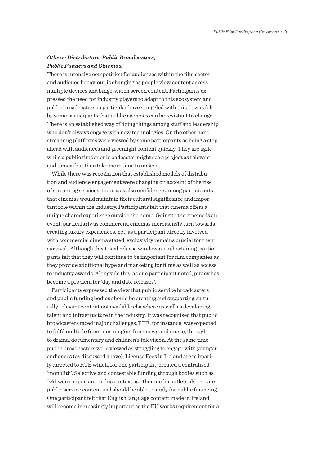#### *Others: Distributors, Public Broadcasters, Public Funders and Cinemas.*

There is intensive competition for audiences within the film sector and audience behaviour is changing as people view content across multiple devices and binge-watch screen content. Participants expressed the need for industry players to adapt to this ecosystem and public broadcasters in particular have struggled with this. It was felt by some participants that public agencies can be resistant to change. There is an established way of doing things among staff and leadership who don't always engage with new technologies. On the other hand streaming platforms were viewed by some participants as being a step ahead with audiences and greenlight content quickly. They are agile while a public funder or broadcaster might see a project as relevant and topical but then take more time to make it.

While there was recognition that established models of distribution and audience engagement were changing on account of the rise of streaming services, there was also confidence among participants that cinemas would maintain their cultural significance and important role within the industry. Participants felt that cinema offers a unique shared experience outside the home. Going to the cinema is an event, particularly as commercial cinemas increasingly turn towards creating luxury experiences. Yet, as a participant directly involved with commercial cinema stated, exclusivity remains crucial for their survival. Although theatrical release windows are shortening, participants felt that they will continue to be important for film companies as they provide additional hype and marketing for films as well as access to industry awards. Alongside this, as one participant noted, piracy has become a problem for 'day and date releases'.

Participants expressed the view that public service broadcasters and public funding bodies should be creating and supporting culturally relevant content not available elsewhere as well as developing talent and infrastructure in the industry. It was recognised that public broadcasters faced major challenges. RTÉ, for instance, was expected to fulfil multiple functions ranging from news and music, through to drama, documentary and children's television. At the same time public broadcasters were viewed as struggling to engage with younger audiences (as discussed above). License Fees in Ireland are primarily directed to RTÉ which, for one participant, created a centralised 'monolith'. Selective and contestable funding through bodies such as BAI were important in this context as other media outlets also create public service content and should be able to apply for public financing. One participant felt that English language content made in Ireland will become increasingly important as the EU works requirement for a